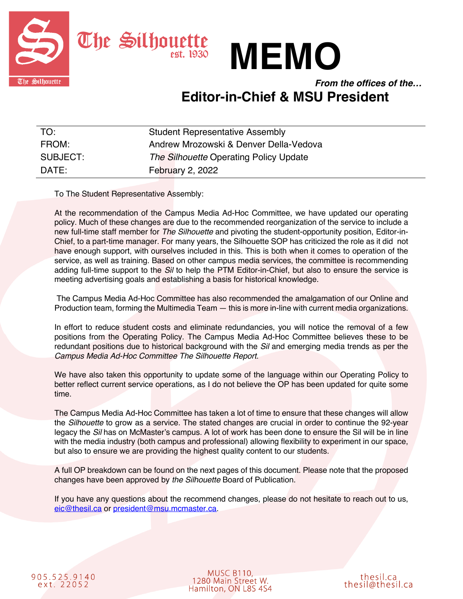



*From the offices of the…* **Editor-in-Chief & MSU President**

| TO:      | <b>Student Representative Assembly</b> |
|----------|----------------------------------------|
| FROM:    | Andrew Mrozowski & Denver Della-Vedova |
| SUBJECT: | The Silhouette Operating Policy Update |
| DATE:    | <b>February 2, 2022</b>                |

To The Student Representative Assembly:

At the recommendation of the Campus Media Ad-Hoc Committee, we have updated our operating policy. Much of these changes are due to the recommended reorganization of the service to include a new full-time staff member for *The Silhouette* and pivoting the student-opportunity position, Editor-in-Chief, to a part-time manager. For many years, the Silhouette SOP has criticized the role as it did not have enough support, with ourselves included in this. This is both when it comes to operation of the service, as well as training. Based on other campus media services, the committee is recommending adding full-time support to the *Sil* to help the PTM Editor-in-Chief, but also to ensure the service is meeting advertising goals and establishing a basis for historical knowledge.

The Campus Media Ad-Hoc Committee has also recommended the amalgamation of our Online and Production team, forming the Multimedia Team — this is more in-line with current media organizations.

In effort to reduce student costs and eliminate redundancies, you will notice the removal of a few positions from the Operating Policy. The Campus Media Ad-Hoc Committee believes these to be redundant positions due to historical background with the *Sil* and emerging media trends as per the *Campus Media Ad-Hoc Committee The Silhouette Report*.

We have also taken this opportunity to update some of the language within our Operating Policy to better reflect current service operations, as I do not believe the OP has been updated for quite some time.

The Campus Media Ad-Hoc Committee has taken a lot of time to ensure that these changes will allow the *Silhouette* to grow as a service. The stated changes are crucial in order to continue the 92-year legacy the *Sil* has on McMaster's campus. A lot of work has been done to ensure the Sil will be in line with the media industry (both campus and professional) allowing flexibility to experiment in our space, but also to ensure we are providing the highest quality content to our students.

A full OP breakdown can be found on the next pages of this document. Please note that the proposed changes have been approved by *the Silhouette* Board of Publication.

If you have any questions about the recommend changes, please do not hesitate to reach out to us, eic@thesil.ca or president@msu.mcmaster.ca.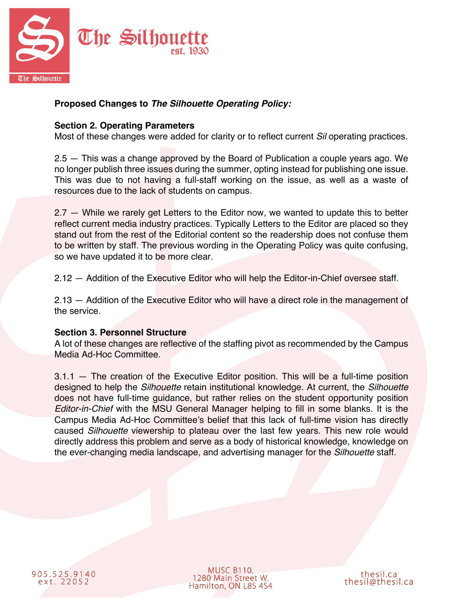

# **Proposed Changes to** *The Silhouette Operating Policy:*

#### **Section 2. Operating Parameters**

Most of these changes were added for clarity or to reflect current *Sil* operating practices.

2.5 — This was a change approved by the Board of Publication a couple years ago. We no longer publish three issues during the summer, opting instead for publishing one issue. This was due to not having a full-staff working on the issue, as well as a waste of resources due to the lack of students on campus.

2.7 — While we rarely get Letters to the Editor now, we wanted to update this to better reflect current media industry practices. Typically Letters to the Editor are placed so they stand out from the rest of the Editorial content so the readership does not confuse them to be written by staff. The previous wording in the Operating Policy was quite confusing, so we have updated it to be more clear.

2.12 — Addition of the Executive Editor who will help the Editor-in-Chief oversee staff.

2.13 — Addition of the Executive Editor who will have a direct role in the management of the service.

#### **Section 3. Personnel Structure**

A lot of these changes are reflective of the staffing pivot as recommended by the Campus Media Ad-Hoc Committee.

3.1.1 — The creation of the Executive Editor position. This will be a full-time position designed to help the *Silhouette* retain institutional knowledge. At current, the *Silhouette* does not have full-time guidance, but rather relies on the student opportunity position *Editor-in-Chief* with the MSU General Manager helping to fill in some blanks. It is the Campus Media Ad-Hoc Committee's belief that this lack of full-time vision has directly caused *Silhouette* viewership to plateau over the last few years. This new role would directly address this problem and serve as a body of historical knowledge, knowledge on the ever-changing media landscape, and advertising manager for the *Silhouette* staff.

905.525.9140 ext. 22052

MUSC B110, 1280 Main Street W. Hamilton, ON L8S 4S4

thesil.ca thesil@thesil.ca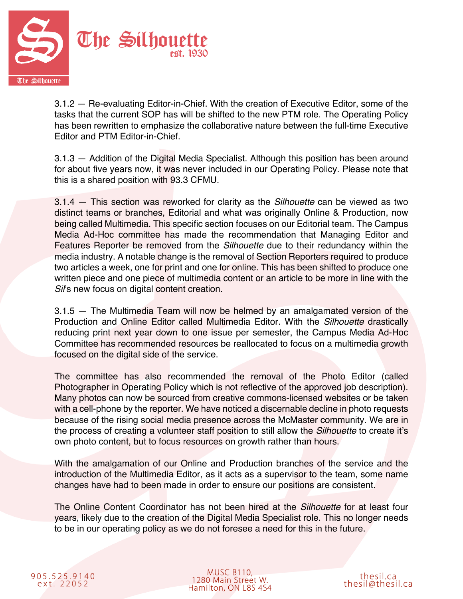

3.1.2 — Re-evaluating Editor-in-Chief. With the creation of Executive Editor, some of the tasks that the current SOP has will be shifted to the new PTM role. The Operating Policy has been rewritten to emphasize the collaborative nature between the full-time Executive Editor and PTM Editor-in-Chief.

3.1.3 — Addition of the Digital Media Specialist. Although this position has been around for about five years now, it was never included in our Operating Policy. Please note that this is a shared position with 93.3 CFMU.

3.1.4 — This section was reworked for clarity as the *Silhouette* can be viewed as two distinct teams or branches, Editorial and what was originally Online & Production, now being called Multimedia. This specific section focuses on our Editorial team. The Campus Media Ad-Hoc committee has made the recommendation that Managing Editor and Features Reporter be removed from the *Silhouette* due to their redundancy within the media industry. A notable change is the removal of Section Reporters required to produce two articles a week, one for print and one for online. This has been shifted to produce one written piece and one piece of multimedia content or an article to be more in line with the *Sil*'s new focus on digital content creation.

3.1.5 — The Multimedia Team will now be helmed by an amalgamated version of the Production and Online Editor called Multimedia Editor. With the *Silhouette* drastically reducing print next year down to one issue per semester, the Campus Media Ad-Hoc Committee has recommended resources be reallocated to focus on a multimedia growth focused on the digital side of the service.

The committee has also recommended the removal of the Photo Editor (called Photographer in Operating Policy which is not reflective of the approved job description). Many photos can now be sourced from creative commons-licensed websites or be taken with a cell-phone by the reporter. We have noticed a discernable decline in photo requests because of the rising social media presence across the McMaster community. We are in the process of creating a volunteer staff position to still allow the *Silhouette* to create it's own photo content, but to focus resources on growth rather than hours.

With the amalgamation of our Online and Production branches of the service and the introduction of the Multimedia Editor, as it acts as a supervisor to the team, some name changes have had to been made in order to ensure our positions are consistent.

The Online Content Coordinator has not been hired at the *Silhouette* for at least four years, likely due to the creation of the Digital Media Specialist role. This no longer needs to be in our operating policy as we do not foresee a need for this in the future.

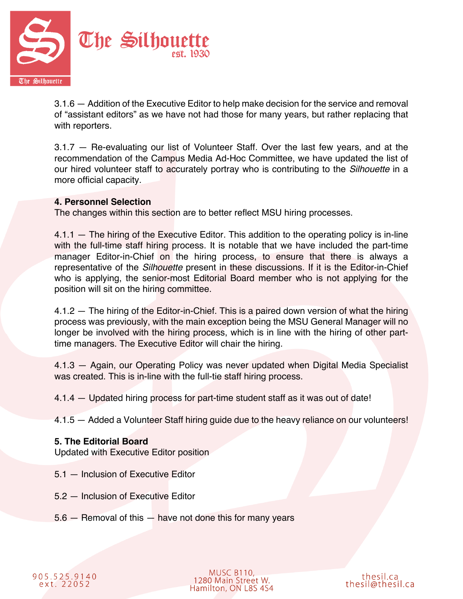

3.1.6 — Addition of the Executive Editor to help make decision for the service and removal of "assistant editors" as we have not had those for many years, but rather replacing that with reporters.

3.1.7 — Re-evaluating our list of Volunteer Staff. Over the last few years, and at the recommendation of the Campus Media Ad-Hoc Committee, we have updated the list of our hired volunteer staff to accurately portray who is contributing to the *Silhouette* in a more official capacity.

#### **4. Personnel Selection**

The changes within this section are to better reflect MSU hiring processes.

4.1.1 — The hiring of the Executive Editor. This addition to the operating policy is in-line with the full-time staff hiring process. It is notable that we have included the part-time manager Editor-in-Chief on the hiring process, to ensure that there is always a representative of the *Silhouette* present in these discussions. If it is the Editor-in-Chief who is applying, the senior-most Editorial Board member who is not applying for the position will sit on the hiring committee.

4.1.2 — The hiring of the Editor-in-Chief. This is a paired down version of what the hiring process was previously, with the main exception being the MSU General Manager will no longer be involved with the hiring process, which is in line with the hiring of other parttime managers. The Executive Editor will chair the hiring.

4.1.3 — Again, our Operating Policy was never updated when Digital Media Specialist was created. This is in-line with the full-tie staff hiring process.

4.1.4 — Updated hiring process for part-time student staff as it was out of date!

4.1.5 — Added a Volunteer Staff hiring guide due to the heavy reliance on our volunteers!

#### **5. The Editorial Board**

Updated with Executive Editor position

- 5.1 Inclusion of Executive Editor
- 5.2 Inclusion of Executive Editor
- 5.6 Removal of this have not done this for many years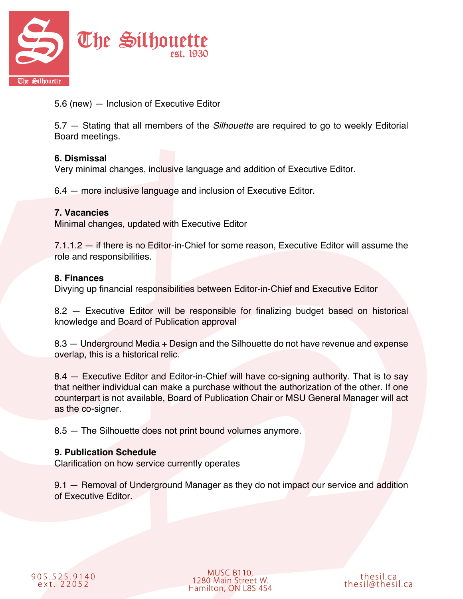

5.6 (new) — Inclusion of Executive Editor

5.7 — Stating that all members of the *Silhouette* are required to go to weekly Editorial Board meetings.

## **6. Dismissal**

Very minimal changes, inclusive language and addition of Executive Editor.

6.4 — more inclusive language and inclusion of Executive Editor.

## **7. Vacancies**

Minimal changes, updated with Executive Editor

7.1.1.2 — if there is no Editor-in-Chief for some reason, Executive Editor will assume the role and responsibilities.

## **8. Finances**

Divying up financial responsibilities between Editor-in-Chief and Executive Editor

8.2 — Executive Editor will be responsible for finalizing budget based on historical knowledge and Board of Publication approval

8.3 — Underground Media + Design and the Silhouette do not have revenue and expense overlap, this is a historical relic.

8.4 — Executive Editor and Editor-in-Chief will have co-signing authority. That is to say that neither individual can make a purchase without the authorization of the other. If one counterpart is not available, Board of Publication Chair or MSU General Manager will act as the co-signer.

8.5 — The Silhouette does not print bound volumes anymore.

## **9. Publication Schedule**

Clarification on how service currently operates

9.1 — Removal of Underground Manager as they do not impact our service and addition of Executive Editor.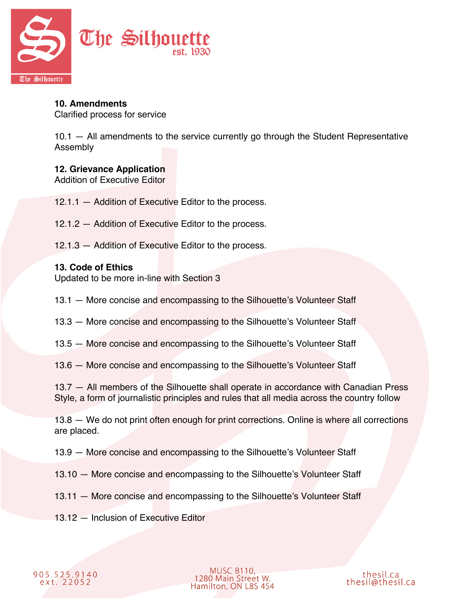

# **10. Amendments**

Clarified process for service

10.1 — All amendments to the service currently go through the Student Representative Assembly

## **12. Grievance Application**

Addition of Executive Editor

- 12.1.1 Addition of Executive Editor to the process.
- 12.1.2 Addition of Executive Editor to the process.
- 12.1.3 Addition of Executive Editor to the process.

#### **13. Code of Ethics**

Updated to be more in-line with Section 3

- 13.1 More concise and encompassing to the Silhouette's Volunteer Staff
- 13.3 More concise and encompassing to the Silhouette's Volunteer Staff
- 13.5 More concise and encompassing to the Silhouette's Volunteer Staff

13.6 — More concise and encompassing to the Silhouette's Volunteer Staff

13.7 — All members of the Silhouette shall operate in accordance with Canadian Press Style, a form of journalistic principles and rules that all media across the country follow

13.8 – We do not print often enough for print corrections. Online is where all corrections are placed.

13.9 — More concise and encompassing to the Silhouette's Volunteer Staff

- 13.10 More concise and encompassing to the Silhouette's Volunteer Staff
- 13.11 More concise and encompassing to the Silhouette's Volunteer Staff
- 13.12 Inclusion of Executive Editor



**MUSC B110,** 1280 Main Street W.<br>Hamilton, ON L8S 4S4